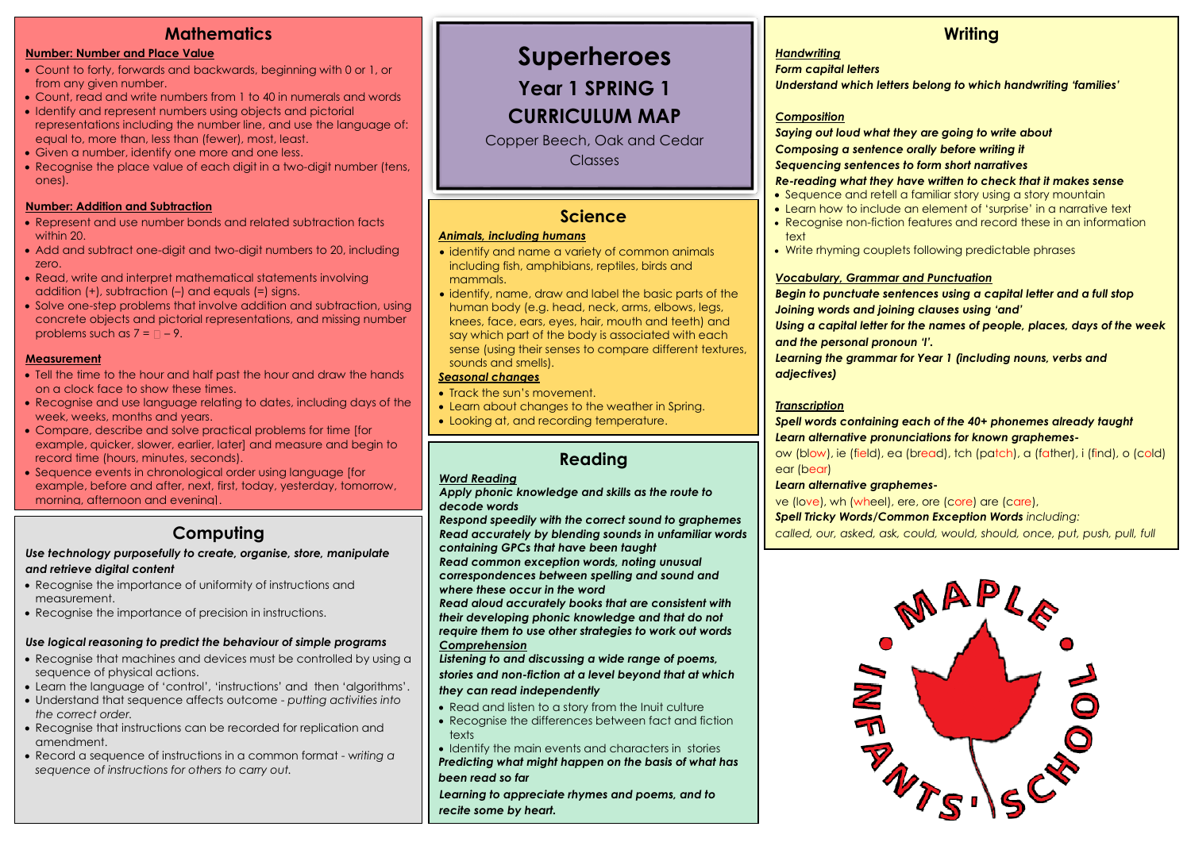## **Mathematics**

#### **Number: Number and Place Value**

- Count to forty, forwards and backwards, beginning with 0 or 1, or from any given number.
- Count, read and write numbers from 1 to 40 in numerals and words
- Identify and represent numbers using objects and pictorial representations including the number line, and use the language of: equal to, more than, less than (fewer), most, least.
- Given a number, identify one more and one less.
- Recognise the place value of each digit in a two-digit number (tens, ones).

#### **Number: Addition and Subtraction**

- Represent and use number bonds and related subtraction facts within 20
- Add and subtract one-digit and two-digit numbers to 20, including zero.
- Read, write and interpret mathematical statements involving addition (+), subtraction (–) and equals (=) signs.
- Solve one-step problems that involve addition and subtraction, using concrete objects and pictorial representations, and missing number problems such as  $7 = \square - 9$ .

#### **Measurement**

- Tell the time to the hour and half past the hour and draw the hands on a clock face to show these times.
- Recognise and use language relating to dates, including days of the week, weeks, months and years.
- Compare, describe and solve practical problems for time [for example, quicker, slower, earlier, laterl and measure and begin to record time (hours, minutes, seconds).
- Sequence events in chronological order using language [for example, before and after, next, first, today, yesterday, tomorrow, morning, afternoon and evening].

### **Computing**

#### *Use technology purposefully to create, organise, store, manipulate and retrieve digital content*

- Recognise the importance of uniformity of instructions and measurement.
- Recognise the importance of precision in instructions.

#### *Use logical reasoning to predict the behaviour of simple programs*

- Recognise that machines and devices must be controlled by using a sequence of physical actions.
- Learn the language of 'control', 'instructions' and then 'algorithms'.
- Understand that sequence affects outcome *putting activities into the correct order.*
- Recognise that instructions can be recorded for replication and amendment.
- Record a sequence of instructions in a common format w*riting a sequence of instructions for others to carry out.*

# **Superheroes**

**Year 1 SPRING 1**

# **CURRICULUM MAP**

Copper Beech, Oak and Cedar Classes

### **Science**

#### *Animals, including humans*

- identify and name a variety of common animals including fish, amphibians, reptiles, birds and mammals.
- identify, name, draw and label the basic parts of the human body (e.g. head, neck, arms, elbows, legs, knees, face, ears, eyes, hair, mouth and teeth) and say which part of the body is associated with each sense (using their senses to compare different textures, sounds and smells).

#### *Seasonal changes*

- Track the sun's movement.
- Learn about changes to the weather in Spring.
- Looking at, and recording temperature.

## **Reading**

#### *Word Reading*

*Apply phonic knowledge and skills as the route to decode words*

*Respond speedily with the correct sound to graphemes Read accurately by blending sounds in unfamiliar words containing GPCs that have been taught Read common exception words, noting unusual correspondences between spelling and sound and where these occur in the word Read aloud accurately books that are consistent with their developing phonic knowledge and that do not* 

*require them to use other strategies to work out words Comprehension*

*Listening to and discussing a wide range of poems,* 

*stories and non-fiction at a level beyond that at which they can read independently*

- Read and listen to a story from the Inuit culture
- Recognise the differences between fact and fiction texts

• Identify the main events and characters in stories

*Predicting what might happen on the basis of what has been read so far* 

*Learning to appreciate rhymes and poems, and to recite some by heart.*

### **Writing**

#### *Handwriting*

*Form capital letters*

*Understand which letters belong to which handwriting 'families'*

#### *Composition*

*Saying out loud what they are going to write about Composing a sentence orally before writing it Sequencing sentences to form short narratives*

#### *Re-reading what they have written to check that it makes sense*

- Sequence and retell a familiar story using a story mountain
- Learn how to include an element of 'surprise' in a narrative text
- Recognise non-fiction features and record these in an information text
- Write rhyming couplets following predictable phrases

#### *Vocabulary, Grammar and Punctuation*

*Begin to punctuate sentences using a capital letter and a full stop Joining words and joining clauses using 'and'*

*Using a capital letter for the names of people, places, days of the week and the personal pronoun 'I'.*

*Learning the grammar for Year 1 (including nouns, verbs and adjectives)*

#### *Transcription*

*Spell words containing each of the 40+ phonemes already taught Learn alternative pronunciations for known graphemes-*

ow (blow), ie (field), ea (bread), tch (patch), a (father), i (find), o (cold) ear (bear)

#### *Learn alternative graphemes-*

ve (love), wh (wheel), ere, ore (core) are (care),

*Spell Tricky Words/Common Exception Words including:*

*called, our, asked, ask, could, would, should, once, put, push, pull, full*